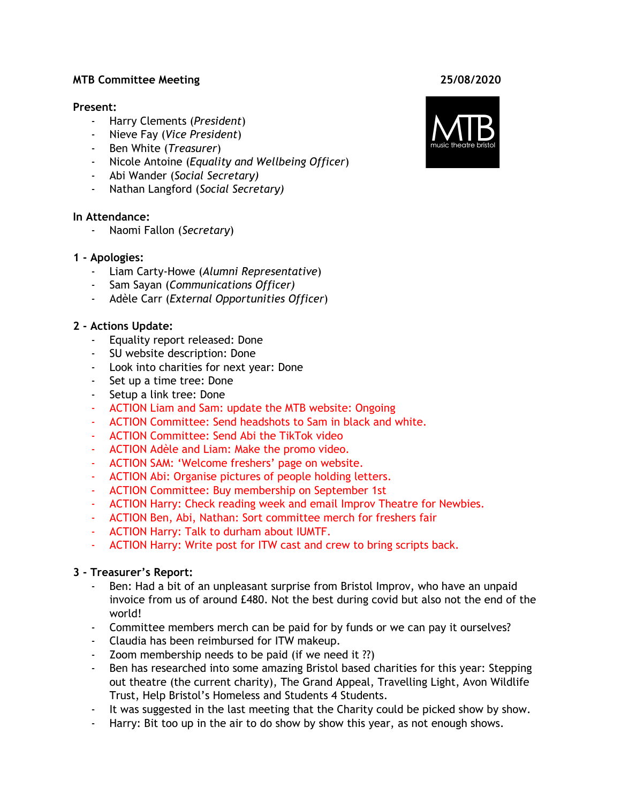#### **MTB Committee Meeting 25/08/2020**

#### **Present:**

- Harry Clements (*President*)
- Nieve Fay (*Vice President*)
- Ben White (*Treasurer*)
- Nicole Antoine (*Equality and Wellbeing Officer*)
- Abi Wander (*Social Secretary)*
- Nathan Langford (*Social Secretary)*

#### **In Attendance:**

- Naomi Fallon (*Secretary*)

#### **1 - Apologies:**

- Liam Carty-Howe (*Alumni Representative*)
- Sam Sayan (*Communications Officer)*
- Adèle Carr (*External Opportunities Officer*)

## **2 - Actions Update:**

- Equality report released: Done
- SU website description: Done
- Look into charities for next year: Done
- Set up a time tree: Done
- Setup a link tree: Done
- ACTION Liam and Sam: update the MTB website: Ongoing
- ACTION Committee: Send headshots to Sam in black and white.
- ACTION Committee: Send Abi the TikTok video
- ACTION Adèle and Liam: Make the promo video.
- ACTION SAM: 'Welcome freshers' page on website.
- ACTION Abi: Organise pictures of people holding letters.
- ACTION Committee: Buy membership on September 1st
- ACTION Harry: Check reading week and email Improv Theatre for Newbies.
- ACTION Ben, Abi, Nathan: Sort committee merch for freshers fair
- ACTION Harry: Talk to durham about IUMTF.
- ACTION Harry: Write post for ITW cast and crew to bring scripts back.

#### **3 - Treasurer's Report:**

- Ben: Had a bit of an unpleasant surprise from Bristol Improv, who have an unpaid invoice from us of around £480. Not the best during covid but also not the end of the world!
- Committee members merch can be paid for by funds or we can pay it ourselves?
- Claudia has been reimbursed for ITW makeup.
- Zoom membership needs to be paid (if we need it ??)
- Ben has researched into some amazing Bristol based charities for this year: Stepping out theatre (the current charity), The Grand Appeal, Travelling Light, Avon Wildlife Trust, Help Bristol's Homeless and Students 4 Students.
- It was suggested in the last meeting that the Charity could be picked show by show.
- Harry: Bit too up in the air to do show by show this year, as not enough shows.

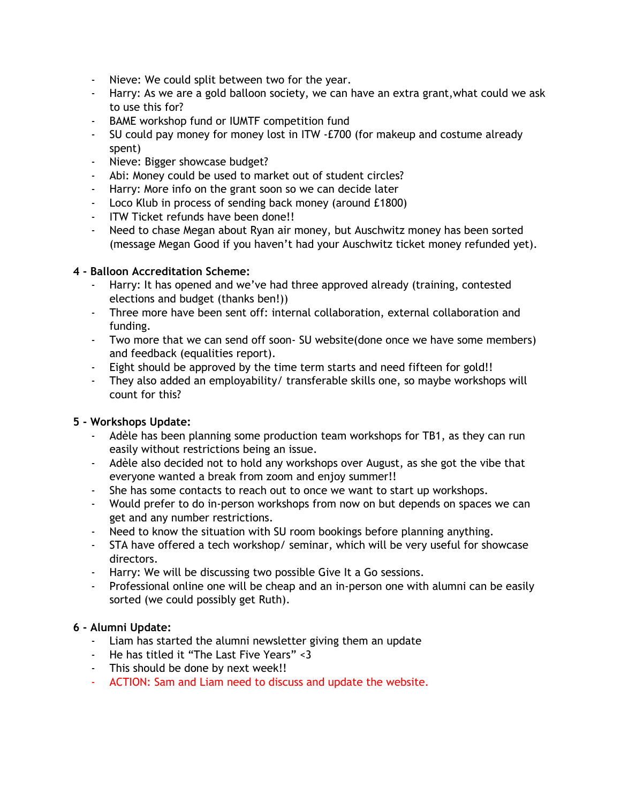- Nieve: We could split between two for the year.
- Harry: As we are a gold balloon society, we can have an extra grant,what could we ask to use this for?
- BAME workshop fund or IUMTF competition fund
- SU could pay money for money lost in ITW -£700 (for makeup and costume already spent)
- Nieve: Bigger showcase budget?
- Abi: Money could be used to market out of student circles?
- Harry: More info on the grant soon so we can decide later
- Loco Klub in process of sending back money (around £1800)
- ITW Ticket refunds have been done!!
- Need to chase Megan about Ryan air money, but Auschwitz money has been sorted (message Megan Good if you haven't had your Auschwitz ticket money refunded yet).

## **4 - Balloon Accreditation Scheme:**

- Harry: It has opened and we've had three approved already (training, contested elections and budget (thanks ben!))
- Three more have been sent off: internal collaboration, external collaboration and funding.
- Two more that we can send off soon- SU website(done once we have some members) and feedback (equalities report).
- Eight should be approved by the time term starts and need fifteen for gold!!
- They also added an employability/ transferable skills one, so maybe workshops will count for this?

# **5 - Workshops Update:**

- Adèle has been planning some production team workshops for TB1, as they can run easily without restrictions being an issue.
- Adèle also decided not to hold any workshops over August, as she got the vibe that everyone wanted a break from zoom and enjoy summer!!
- She has some contacts to reach out to once we want to start up workshops.
- Would prefer to do in-person workshops from now on but depends on spaces we can get and any number restrictions.
- Need to know the situation with SU room bookings before planning anything.
- STA have offered a tech workshop/ seminar, which will be very useful for showcase directors.
- Harry: We will be discussing two possible Give It a Go sessions.
- Professional online one will be cheap and an in-person one with alumni can be easily sorted (we could possibly get Ruth).

## **6 - Alumni Update:**

- Liam has started the alumni newsletter giving them an update
- He has titled it "The Last Five Years" <3
- This should be done by next week!!
- ACTION: Sam and Liam need to discuss and update the website.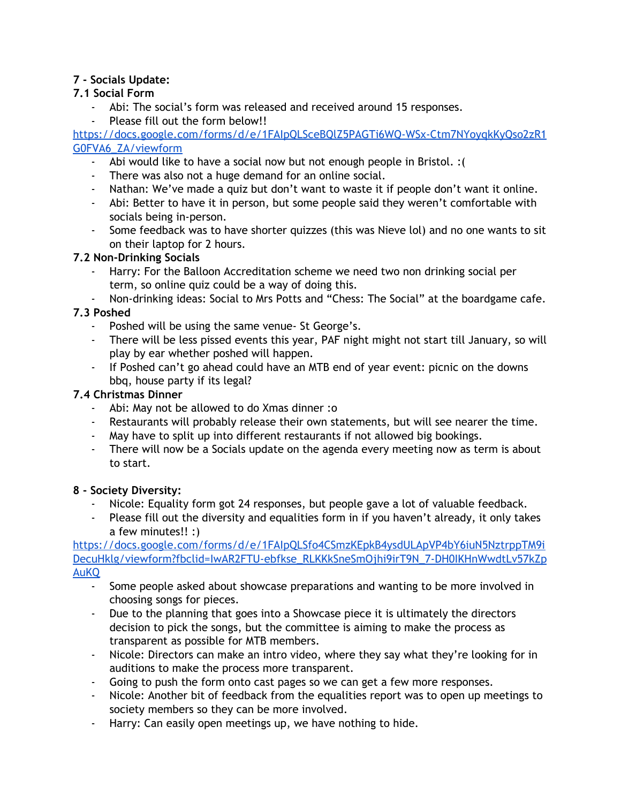# **7 - Socials Update:**

# **7.1 Social Form**

- Abi: The social's form was released and received around 15 responses.
- Please fill out the form below!!

[https://docs.google.com/forms/d/e/1FAIpQLSceBQlZ5PAGTi6WQ-WSx-Ctm7NYoyqkKyQso2zR1](https://docs.google.com/forms/d/e/1FAIpQLSceBQlZ5PAGTi6WQ-WSx-Ctm7NYoyqkKyQso2zR1G0FVA6_ZA/viewform) [G0FVA6\\_ZA/viewform](https://docs.google.com/forms/d/e/1FAIpQLSceBQlZ5PAGTi6WQ-WSx-Ctm7NYoyqkKyQso2zR1G0FVA6_ZA/viewform)

- Abi would like to have a social now but not enough people in Bristol. :(
- There was also not a huge demand for an online social.
- Nathan: We've made a quiz but don't want to waste it if people don't want it online.
- Abi: Better to have it in person, but some people said they weren't comfortable with socials being in-person.
- Some feedback was to have shorter quizzes (this was Nieve lol) and no one wants to sit on their laptop for 2 hours.

# **7.2 Non-Drinking Socials**

- Harry: For the Balloon Accreditation scheme we need two non drinking social per term, so online quiz could be a way of doing this.
- Non-drinking ideas: Social to Mrs Potts and "Chess: The Social" at the boardgame cafe.

# **7.3 Poshed**

- Poshed will be using the same venue- St George's.
- There will be less pissed events this year, PAF night might not start till January, so will play by ear whether poshed will happen.
- If Poshed can't go ahead could have an MTB end of year event: picnic on the downs bbq, house party if its legal?

# **7.4 Christmas Dinner**

- Abi: May not be allowed to do Xmas dinner :o
- Restaurants will probably release their own statements, but will see nearer the time.
- May have to split up into different restaurants if not allowed big bookings.
- There will now be a Socials update on the agenda every meeting now as term is about to start.

# **8 - Society Diversity:**

- Nicole: Equality form got 24 responses, but people gave a lot of valuable feedback.
- Please fill out the diversity and equalities form in if you haven't already, it only takes a few minutes!! :)

[https://docs.google.com/forms/d/e/1FAIpQLSfo4CSmzKEpkB4ysdULApVP4bY6iuN5NztrppTM9i](https://docs.google.com/forms/d/e/1FAIpQLSfo4CSmzKEpkB4ysdULApVP4bY6iuN5NztrppTM9iDecuHklg/viewform?fbclid=IwAR2FTU-ebfkse_RLKKkSneSmOjhi9irT9N_7-DH0IKHnWwdtLv57kZpAuKQ) [DecuHklg/viewform?fbclid=IwAR2FTU-ebfkse\\_RLKKkSneSmOjhi9irT9N\\_7-DH0IKHnWwdtLv57kZp](https://docs.google.com/forms/d/e/1FAIpQLSfo4CSmzKEpkB4ysdULApVP4bY6iuN5NztrppTM9iDecuHklg/viewform?fbclid=IwAR2FTU-ebfkse_RLKKkSneSmOjhi9irT9N_7-DH0IKHnWwdtLv57kZpAuKQ) [AuKQ](https://docs.google.com/forms/d/e/1FAIpQLSfo4CSmzKEpkB4ysdULApVP4bY6iuN5NztrppTM9iDecuHklg/viewform?fbclid=IwAR2FTU-ebfkse_RLKKkSneSmOjhi9irT9N_7-DH0IKHnWwdtLv57kZpAuKQ)

- Some people asked about showcase preparations and wanting to be more involved in choosing songs for pieces.
- Due to the planning that goes into a Showcase piece it is ultimately the directors decision to pick the songs, but the committee is aiming to make the process as transparent as possible for MTB members.
- Nicole: Directors can make an intro video, where they say what they're looking for in auditions to make the process more transparent.
- Going to push the form onto cast pages so we can get a few more responses.
- Nicole: Another bit of feedback from the equalities report was to open up meetings to society members so they can be more involved.
- Harry: Can easily open meetings up, we have nothing to hide.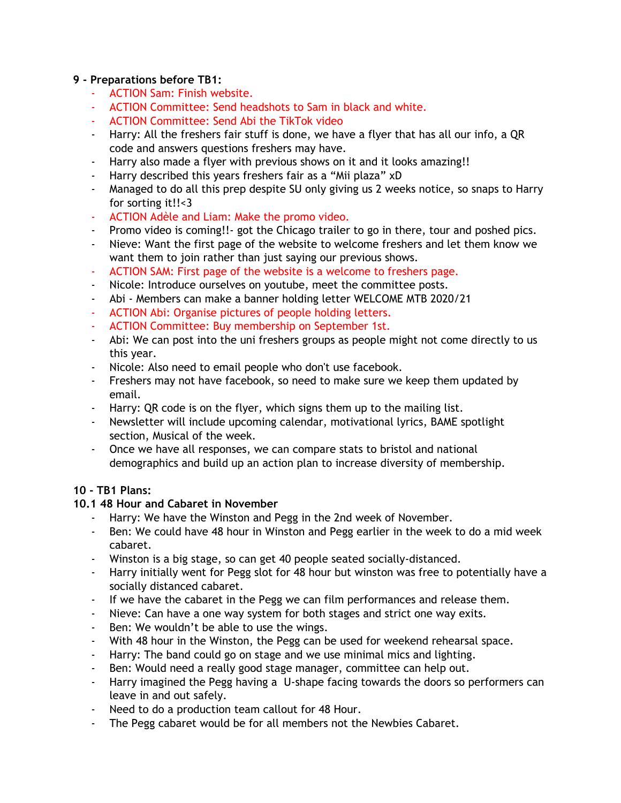## **9 - Preparations before TB1:**

- ACTION Sam: Finish website.
- ACTION Committee: Send headshots to Sam in black and white.
- ACTION Committee: Send Abi the TikTok video
- Harry: All the freshers fair stuff is done, we have a flyer that has all our info, a QR code and answers questions freshers may have.
- Harry also made a flyer with previous shows on it and it looks amazing!!
- Harry described this years freshers fair as a "Mii plaza" xD
- Managed to do all this prep despite SU only giving us 2 weeks notice, so snaps to Harry for sorting it!!<3
- ACTION Adèle and Liam: Make the promo video.
- Promo video is coming!!- got the Chicago trailer to go in there, tour and poshed pics.
- Nieve: Want the first page of the website to welcome freshers and let them know we want them to join rather than just saying our previous shows.
- ACTION SAM: First page of the website is a welcome to freshers page.
- Nicole: Introduce ourselves on youtube, meet the committee posts.
- Abi Members can make a banner holding letter WELCOME MTB 2020/21
- ACTION Abi: Organise pictures of people holding letters.
- ACTION Committee: Buy membership on September 1st.
- Abi: We can post into the uni freshers groups as people might not come directly to us this year.
- Nicole: Also need to email people who don't use facebook.
- Freshers may not have facebook, so need to make sure we keep them updated by email.
- Harry: QR code is on the flyer, which signs them up to the mailing list.
- Newsletter will include upcoming calendar, motivational lyrics, BAME spotlight section, Musical of the week.
- Once we have all responses, we can compare stats to bristol and national demographics and build up an action plan to increase diversity of membership.

# **10 - TB1 Plans:**

# **10.1 48 Hour and Cabaret in November**

- Harry: We have the Winston and Pegg in the 2nd week of November.
- Ben: We could have 48 hour in Winston and Pegg earlier in the week to do a mid week cabaret.
- Winston is a big stage, so can get 40 people seated socially-distanced.
- Harry initially went for Pegg slot for 48 hour but winston was free to potentially have a socially distanced cabaret.
- If we have the cabaret in the Pegg we can film performances and release them.
- Nieve: Can have a one way system for both stages and strict one way exits.
- Ben: We wouldn't be able to use the wings.
- With 48 hour in the Winston, the Pegg can be used for weekend rehearsal space.
- Harry: The band could go on stage and we use minimal mics and lighting.
- Ben: Would need a really good stage manager, committee can help out.
- Harry imagined the Pegg having a U-shape facing towards the doors so performers can leave in and out safely.
- Need to do a production team callout for 48 Hour.
- The Pegg cabaret would be for all members not the Newbies Cabaret.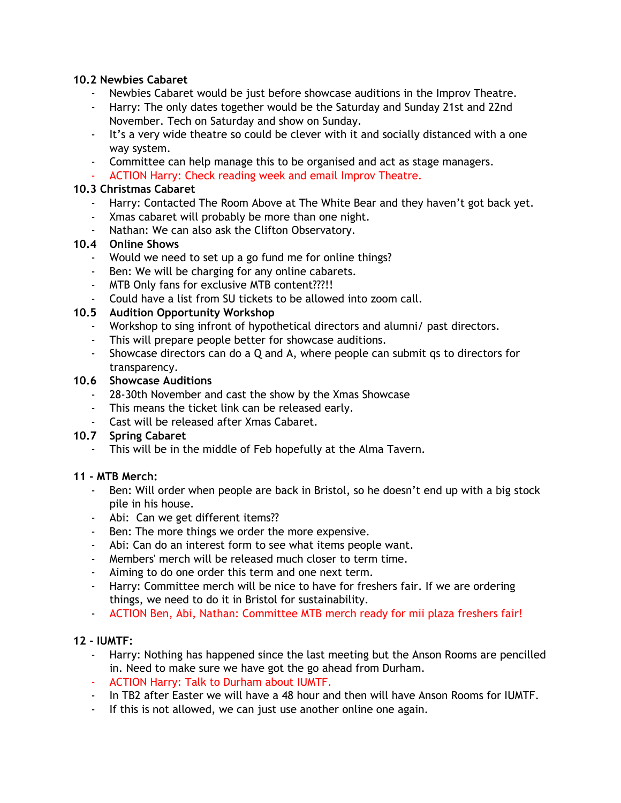## **10.2 Newbies Cabaret**

- Newbies Cabaret would be just before showcase auditions in the Improv Theatre.
- Harry: The only dates together would be the Saturday and Sunday 21st and 22nd November. Tech on Saturday and show on Sunday.
- It's a very wide theatre so could be clever with it and socially distanced with a one way system.
- Committee can help manage this to be organised and act as stage managers.
- ACTION Harry: Check reading week and email Improv Theatre.

## **10.3 Christmas Cabaret**

- Harry: Contacted The Room Above at The White Bear and they haven't got back yet.
- Xmas cabaret will probably be more than one night.
- Nathan: We can also ask the Clifton Observatory.

## **10.4 Online Shows**

- Would we need to set up a go fund me for online things?
- Ben: We will be charging for any online cabarets.
- MTB Only fans for exclusive MTB content???!!
- Could have a list from SU tickets to be allowed into zoom call.

## **10.5 Audition Opportunity Workshop**

- Workshop to sing infront of hypothetical directors and alumni/ past directors.
- This will prepare people better for showcase auditions.
- Showcase directors can do a Q and A, where people can submit qs to directors for transparency.

## **10.6 Showcase Auditions**

- 28-30th November and cast the show by the Xmas Showcase
- This means the ticket link can be released early.
- Cast will be released after Xmas Cabaret.

# **10.7 Spring Cabaret**

- This will be in the middle of Feb hopefully at the Alma Tavern.

## **11 - MTB Merch:**

- Ben: Will order when people are back in Bristol, so he doesn't end up with a big stock pile in his house.
- Abi: Can we get different items??
- Ben: The more things we order the more expensive.
- Abi: Can do an interest form to see what items people want.
- Members' merch will be released much closer to term time.
- Aiming to do one order this term and one next term.
- Harry: Committee merch will be nice to have for freshers fair. If we are ordering things, we need to do it in Bristol for sustainability.
- ACTION Ben, Abi, Nathan: Committee MTB merch ready for mii plaza freshers fair!

# **12 - IUMTF:**

- Harry: Nothing has happened since the last meeting but the Anson Rooms are pencilled in. Need to make sure we have got the go ahead from Durham.
- ACTION Harry: Talk to Durham about IUMTF.
- In TB2 after Easter we will have a 48 hour and then will have Anson Rooms for IUMTF.
- If this is not allowed, we can just use another online one again.